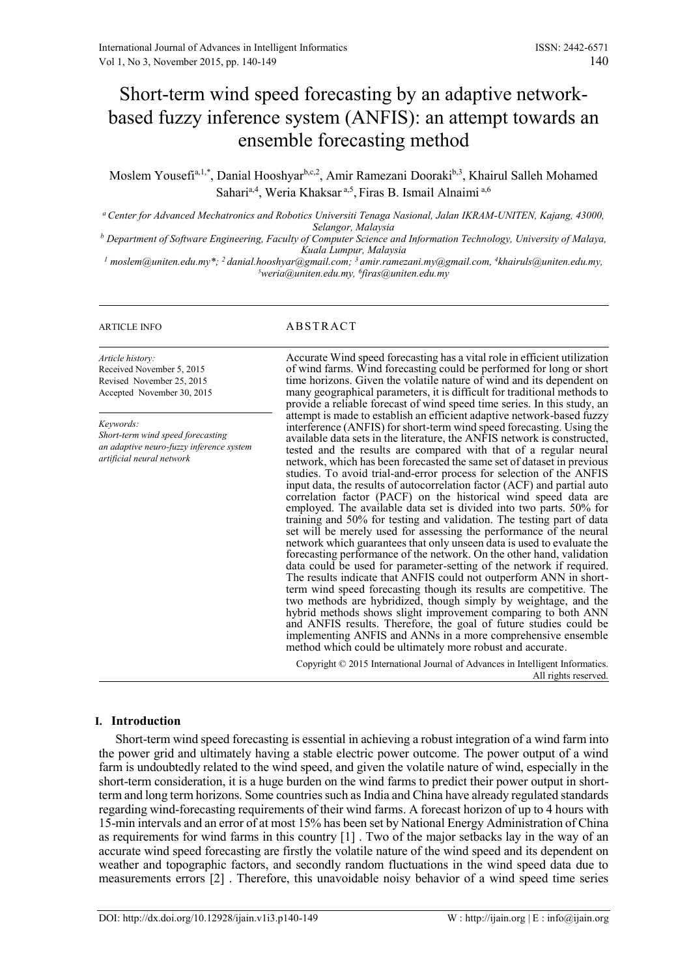# Short-term wind speed forecasting by an adaptive networkbased fuzzy inference system (ANFIS): an attempt towards an ensemble forecasting method

Moslem Yousefi<sup>a,1,\*</sup>, Danial Hooshyar<sup>b,c,2</sup>, Amir Ramezani Dooraki<sup>b,3</sup>, Khairul Salleh Mohamed Sahari<sup>a,4</sup>, Weria Khaksar<sup>a,5</sup>, Firas B. Ismail Alnaimi<sup>a,6</sup>

*<sup>a</sup> Center for Advanced Mechatronics and Robotics Universiti Tenaga Nasional, Jalan IKRAM-UNITEN, Kajang, 43000, Selangor, Malaysia*

*<sup>b</sup> Department of Software Engineering, Faculty of Computer Science and Information Technology, University of Malaya, Kuala Lumpur, Malaysia*

*<sup>1</sup> moslem@uniten.edu.my\*; <sup>2</sup>danial.hooshyar@gmail.com; <sup>3</sup>[amir.ramezani.my@gmail.com,](mailto:amir.ramezani.my@gmail.com) 4 [khairuls@uniten.edu.my,](mailto:Khairuls@uniten.edu.my) <sup>5</sup>[weria@uniten.edu.my,](mailto:5Weria@uniten.edu.my) 6 firas@uniten.edu.my*

*Article history:* Received November 5, 2015 Revised November 25, 2015 Accepted November 30, 2015

*Keywords:*

*Short-term wind speed forecasting an adaptive neuro-fuzzy inference system artificial neural network*

# ARTICLE INFO ABSTRACT

Accurate Wind speed forecasting has a vital role in efficient utilization of wind farms. Wind forecasting could be performed for long or short time horizons. Given the volatile nature of wind and its dependent on many geographical parameters, it is difficult for traditional methods to provide a reliable forecast of wind speed time series. In this study, an attempt is made to establish an efficient adaptive network-based fuzzy interference (ANFIS) for short-term wind speed forecasting. Using the available data sets in the literature, the ANFIS network is constructed, tested and the results are compared with that of a regular neural network, which has been forecasted the same set of dataset in previous studies. To avoid trial-and-error process for selection of the ANFIS input data, the results of autocorrelation factor (ACF) and partial auto correlation factor (PACF) on the historical wind speed data are employed. The available data set is divided into two parts. 50% for training and 50% for testing and validation. The testing part of data set will be merely used for assessing the performance of the neural network which guarantees that only unseen data is used to evaluate the forecasting performance of the network. On the other hand, validation data could be used for parameter-setting of the network if required. The results indicate that ANFIS could not outperform ANN in shortterm wind speed forecasting though its results are competitive. The two methods are hybridized, though simply by weightage, and the hybrid methods shows slight improvement comparing to both ANN and ANFIS results. Therefore, the goal of future studies could be implementing ANFIS and ANNs in a more comprehensive ensemble method which could be ultimately more robust and accurate.

Copyright © 2015 International Journal of Advances in Intelligent Informatics. All rights reserved.

# **I. Introduction**

Short-term wind speed forecasting is essential in achieving a robust integration of a wind farm into the power grid and ultimately having a stable electric power outcome. The power output of a wind farm is undoubtedly related to the wind speed, and given the volatile nature of wind, especially in the short-term consideration, it is a huge burden on the wind farms to predict their power output in shortterm and long term horizons. Some countries such as India and China have already regulated standards regarding wind-forecasting requirements of their wind farms. A forecast horizon of up to 4 hours with 15-min intervals and an error of at most 15% has been set by National Energy Administration of China as requirements for wind farms in this country [\[1\]](#page-8-0) . Two of the major setbacks lay in the way of an accurate wind speed forecasting are firstly the volatile nature of the wind speed and its dependent on weather and topographic factors, and secondly random fluctuations in the wind speed data due to measurements errors [\[2\]](#page-8-1) . Therefore, this unavoidable noisy behavior of a wind speed time series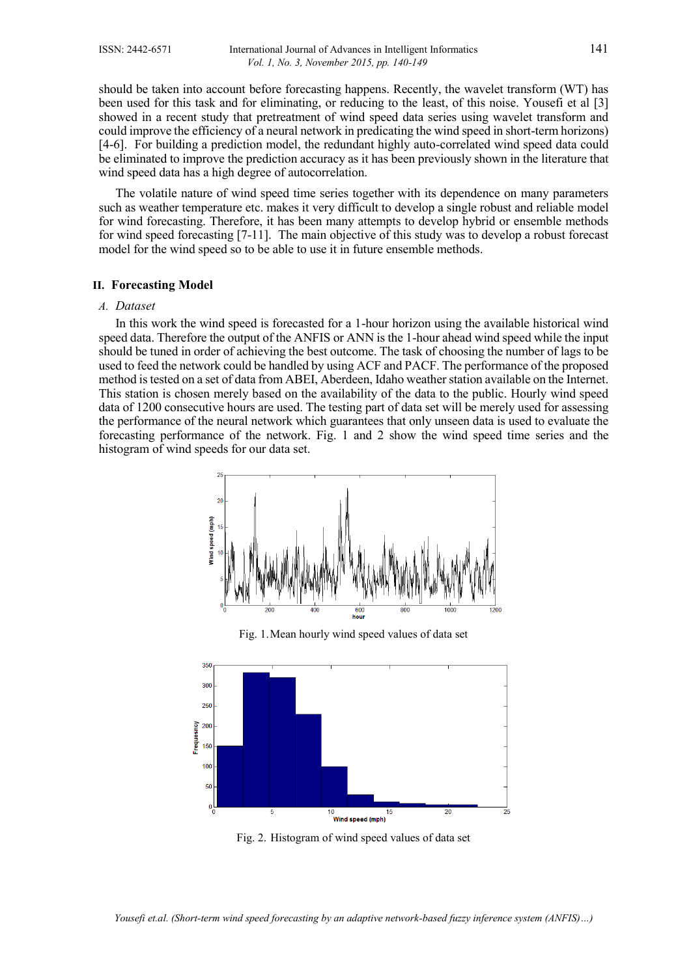should be taken into account before forecasting happens. Recently, the wavelet transform (WT) has been used for this task and for eliminating, or reducing to the least, of this noise. Yousefi et al [\[3\]](#page-8-2) showed in a recent study that pretreatment of wind speed data series using wavelet transform and could improve the efficiency of a neural network in predicating the wind speed in short-term horizons) [\[4-6\]](#page-8-3). For building a prediction model, the redundant highly auto-correlated wind speed data could be eliminated to improve the prediction accuracy as it has been previously shown in the literature that wind speed data has a high degree of autocorrelation.

The volatile nature of wind speed time series together with its dependence on many parameters such as weather temperature etc. makes it very difficult to develop a single robust and reliable model for wind forecasting. Therefore, it has been many attempts to develop hybrid or ensemble methods for wind speed forecasting [\[7-11\]](#page-8-4). The main objective of this study was to develop a robust forecast model for the wind speed so to be able to use it in future ensemble methods.

# **II. Forecasting Model**

#### *A. Dataset*

In this work the wind speed is forecasted for a 1-hour horizon using the available historical wind speed data. Therefore the output of the ANFIS or ANN is the 1-hour ahead wind speed while the input should be tuned in order of achieving the best outcome. The task of choosing the number of lags to be used to feed the network could be handled by using ACF and PACF. The performance of the proposed method is tested on a set of data from ABEI, Aberdeen, Idaho weather station available on the Internet. This station is chosen merely based on the availability of the data to the public. Hourly wind speed data of 1200 consecutive hours are used. The testing part of data set will be merely used for assessing the performance of the neural network which guarantees that only unseen data is used to evaluate the forecasting performance of the network. Fig. 1 and 2 show the wind speed time series and the histogram of wind speeds for our data set.



Fig. 1.Mean hourly wind speed values of data set



Fig. 2. Histogram of wind speed values of data set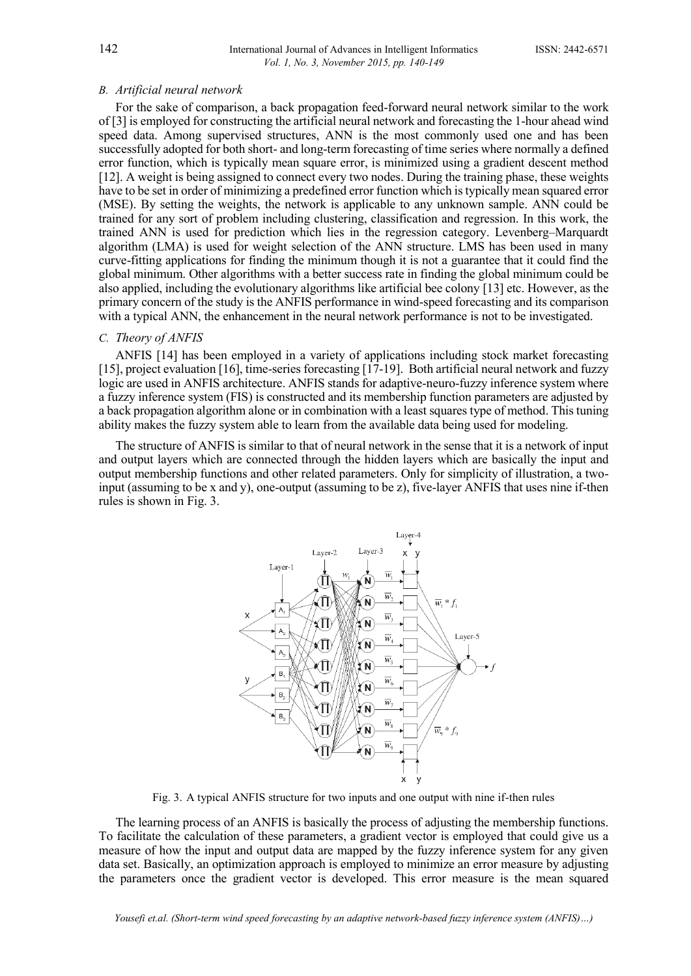#### *B. Artificial neural network*

For the sake of comparison, a back propagation feed-forward neural network similar to the work of [\[3\]](#page-8-2) is employed for constructing the artificial neural network and forecasting the 1-hour ahead wind speed data. Among supervised structures, ANN is the most commonly used one and has been successfully adopted for both short- and long-term forecasting of time series where normally a defined error function, which is typically mean square error, is minimized using a gradient descent method [\[12\]](#page-8-5). A weight is being assigned to connect every two nodes. During the training phase, these weights have to be set in order of minimizing a predefined error function which is typically mean squared error (MSE). By setting the weights, the network is applicable to any unknown sample. ANN could be trained for any sort of problem including clustering, classification and regression. In this work, the trained ANN is used for prediction which lies in the regression category. Levenberg–Marquardt algorithm (LMA) is used for weight selection of the ANN structure. LMS has been used in many curve-fitting applications for finding the minimum though it is not a guarantee that it could find the global minimum. Other algorithms with a better success rate in finding the global minimum could be also applied, including the evolutionary algorithms like artificial bee colony [\[13\]](#page-8-6) etc. However, as the primary concern of the study is the ANFIS performance in wind-speed forecasting and its comparison with a typical ANN, the enhancement in the neural network performance is not to be investigated.

# *C. Theory of ANFIS*

ANFIS [\[14\]](#page-8-7) has been employed in a variety of applications including stock market forecasting [\[15\]](#page-8-8), project evaluation [\[16\]](#page-8-9), time-series forecasting [\[17-19\]](#page-9-0). Both artificial neural network and fuzzy logic are used in ANFIS architecture. ANFIS stands for adaptive-neuro-fuzzy inference system where a fuzzy inference system (FIS) is constructed and its membership function parameters are adjusted by a back propagation algorithm alone or in combination with a least squares type of method. This tuning ability makes the fuzzy system able to learn from the available data being used for modeling.

The structure of ANFIS is similar to that of neural network in the sense that it is a network of input and output layers which are connected through the hidden layers which are basically the input and output membership functions and other related parameters. Only for simplicity of illustration, a twoinput (assuming to be x and y), one-output (assuming to be z), five-layer ANFIS that uses nine if-then rules is shown in Fig. 3.



Fig. 3. A typical ANFIS structure for two inputs and one output with nine if-then rules

The learning process of an ANFIS is basically the process of adjusting the membership functions. To facilitate the calculation of these parameters, a gradient vector is employed that could give us a measure of how the input and output data are mapped by the fuzzy inference system for any given data set. Basically, an optimization approach is employed to minimize an error measure by adjusting the parameters once the gradient vector is developed. This error measure is the mean squared

*Yousefi et.al. (Short-term wind speed forecasting by an adaptive network-based fuzzy inference system (ANFIS)…)*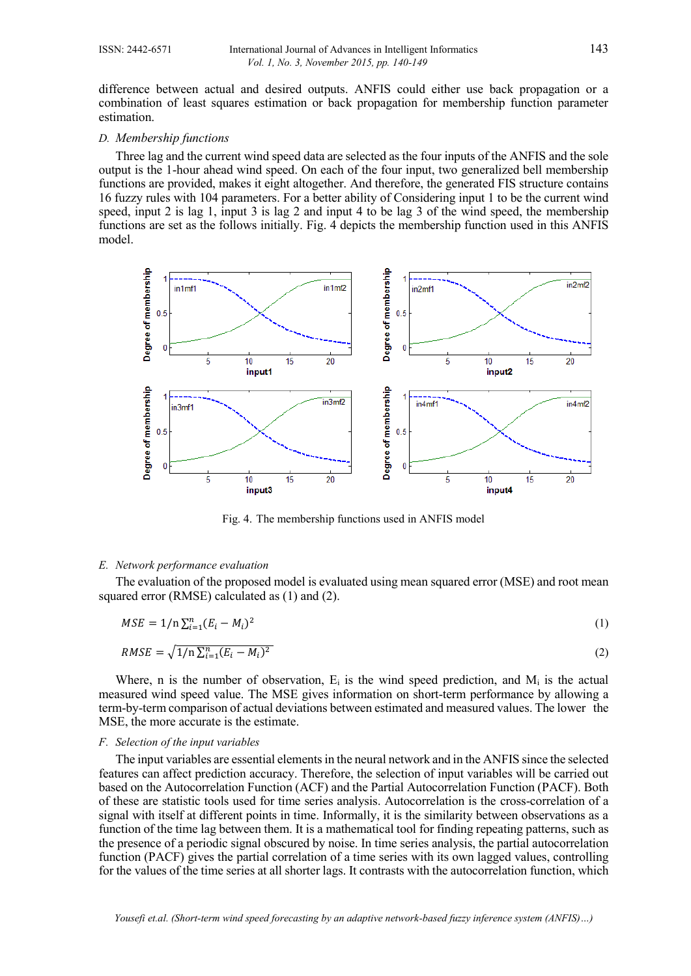difference between actual and desired outputs. ANFIS could either use back propagation or a combination of least squares estimation or back propagation for membership function parameter estimation.

#### *D. Membership functions*

Three lag and the current wind speed data are selected as the four inputs of the ANFIS and the sole output is the 1-hour ahead wind speed. On each of the four input, two generalized bell membership functions are provided, makes it eight altogether. And therefore, the generated FIS structure contains 16 fuzzy rules with 104 parameters. For a better ability of Considering input 1 to be the current wind speed, input 2 is lag 1, input 3 is lag 2 and input 4 to be lag 3 of the wind speed, the membership functions are set as the follows initially. Fig. 4 depicts the membership function used in this ANFIS model.



Fig. 4. The membership functions used in ANFIS model

#### *E. Network performance evaluation*

The evaluation of the proposed model is evaluated using mean squared error (MSE) and root mean squared error (RMSE) calculated as (1) and (2).

$$
MSE = 1/n \sum_{i=1}^{n} (E_i - M_i)^2
$$
 (1)

$$
RMSE = \sqrt{1/n \sum_{i=1}^{n} (E_i - M_i)^2}
$$
\n(2)

Where, n is the number of observation,  $E_i$  is the wind speed prediction, and  $M_i$  is the actual measured wind speed value. The MSE gives information on short-term performance by allowing a term-by-term comparison of actual deviations between estimated and measured values. The lower the MSE, the more accurate is the estimate.

# *F. Selection of the input variables*

The input variables are essential elements in the neural network and in the ANFIS since the selected features can affect prediction accuracy. Therefore, the selection of input variables will be carried out based on the Autocorrelation Function (ACF) and the Partial Autocorrelation Function (PACF). Both of these are statistic tools used for time series analysis. Autocorrelation is the [cross-correlation](https://en.wikipedia.org/wiki/Cross-correlation) of a [signal](https://en.wikipedia.org/wiki/Signal_%28information_theory%29) with itself at different points in time. Informally, it is the similarity between observations as a function of the time lag between them. It is a mathematical tool for finding repeating patterns, such as the presence of a periodic signal obscured by noise. In [time series analysis,](https://en.wikipedia.org/wiki/Time_series_analysis) the partial autocorrelation function (PACF) gives the [partial correlation](https://en.wikipedia.org/wiki/Partial_correlation) of a time series with its own lagged values, controlling for the values of the time series at all shorter lags. It contrasts with the [autocorrelation function,](https://en.wikipedia.org/wiki/Autocorrelation_function) which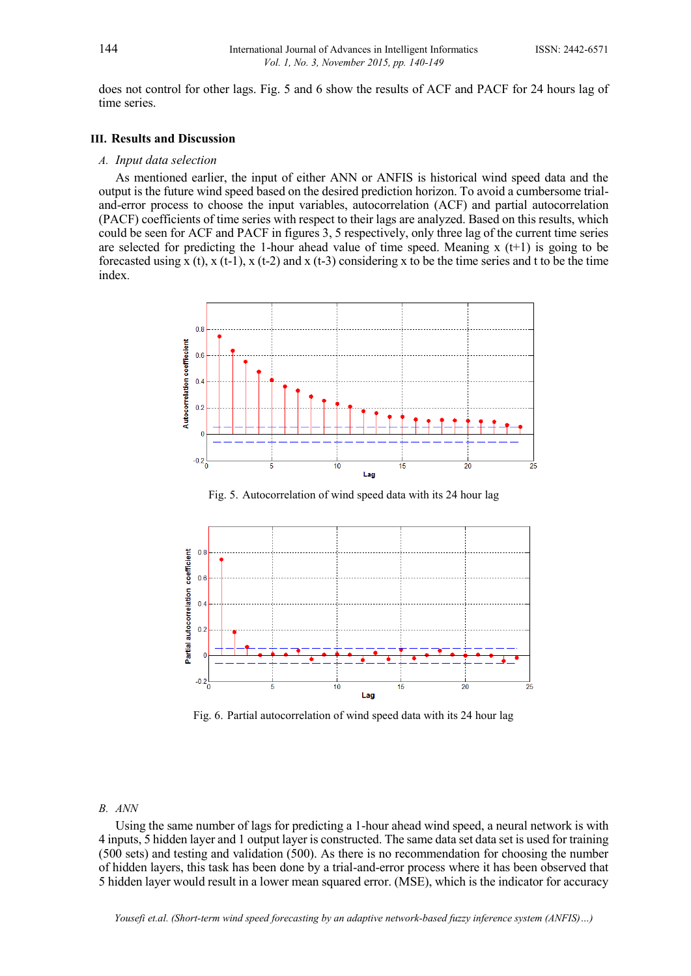does not control for other lags. Fig. 5 and 6 show the results of ACF and PACF for 24 hours lag of time series.

#### **III. Results and Discussion**

# *A. Input data selection*

As mentioned earlier, the input of either ANN or ANFIS is historical wind speed data and the output is the future wind speed based on the desired prediction horizon. To avoid a cumbersome trialand-error process to choose the input variables, autocorrelation (ACF) and partial autocorrelation (PACF) coefficients of time series with respect to their lags are analyzed. Based on this results, which could be seen for ACF and PACF in figures 3, 5 respectively, only three lag of the current time series are selected for predicting the 1-hour ahead value of time speed. Meaning  $x(t+1)$  is going to be forecasted using x (t), x (t-1), x (t-2) and x (t-3) considering x to be the time series and t to be the time index.



Fig. 5. Autocorrelation of wind speed data with its 24 hour lag



Fig. 6. Partial autocorrelation of wind speed data with its 24 hour lag

#### *B. ANN*

Using the same number of lags for predicting a 1-hour ahead wind speed, a neural network is with 4 inputs, 5 hidden layer and 1 output layer is constructed. The same data set data set is used for training (500 sets) and testing and validation (500). As there is no recommendation for choosing the number of hidden layers, this task has been done by a trial-and-error process where it has been observed that 5 hidden layer would result in a lower mean squared error. (MSE), which is the indicator for accuracy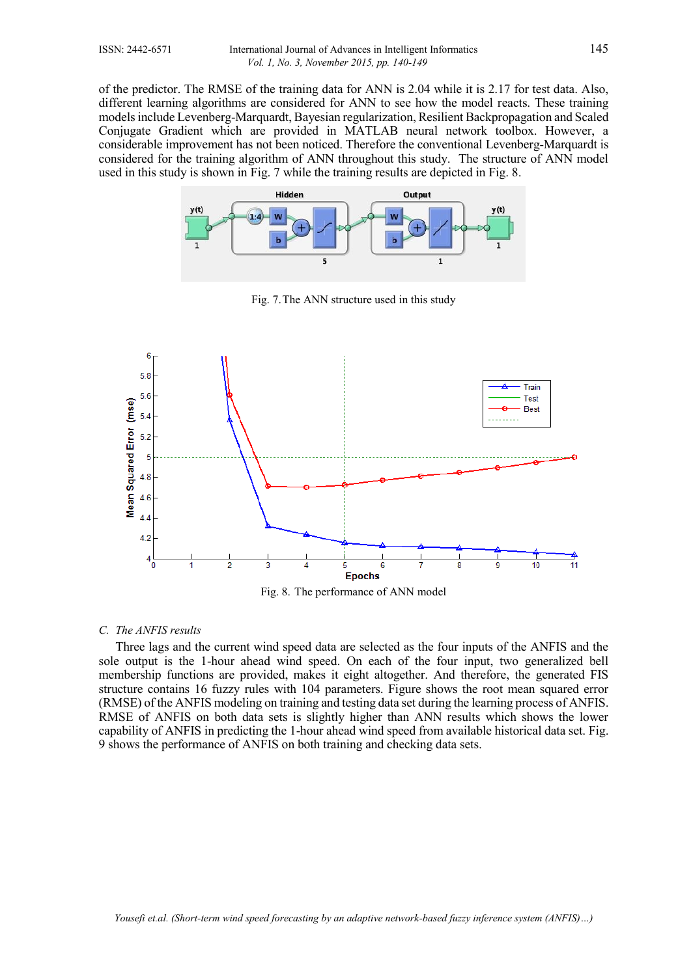of the predictor. The RMSE of the training data for ANN is 2.04 while it is 2.17 for test data. Also, different learning algorithms are considered for ANN to see how the model reacts. These training models include Levenberg-Marquardt, Bayesian regularization, Resilient Backpropagation and Scaled Conjugate Gradient which are provided in MATLAB neural network toolbox. However, a considerable improvement has not been noticed. Therefore the conventional Levenberg-Marquardt is considered for the training algorithm of ANN throughout this study. The structure of ANN model used in this study is shown in Fig. 7 while the training results are depicted in Fig. 8.



Fig. 7.The ANN structure used in this study



Fig. 8. The performance of ANN model

# *C. The ANFIS results*

Three lags and the current wind speed data are selected as the four inputs of the ANFIS and the sole output is the 1-hour ahead wind speed. On each of the four input, two generalized bell membership functions are provided, makes it eight altogether. And therefore, the generated FIS structure contains 16 fuzzy rules with 104 parameters. Figure shows the root mean squared error (RMSE) of the ANFIS modeling on training and testing data set during the learning process of ANFIS. RMSE of ANFIS on both data sets is slightly higher than ANN results which shows the lower capability of ANFIS in predicting the 1-hour ahead wind speed from available historical data set. Fig. 9 shows the performance of ANFIS on both training and checking data sets.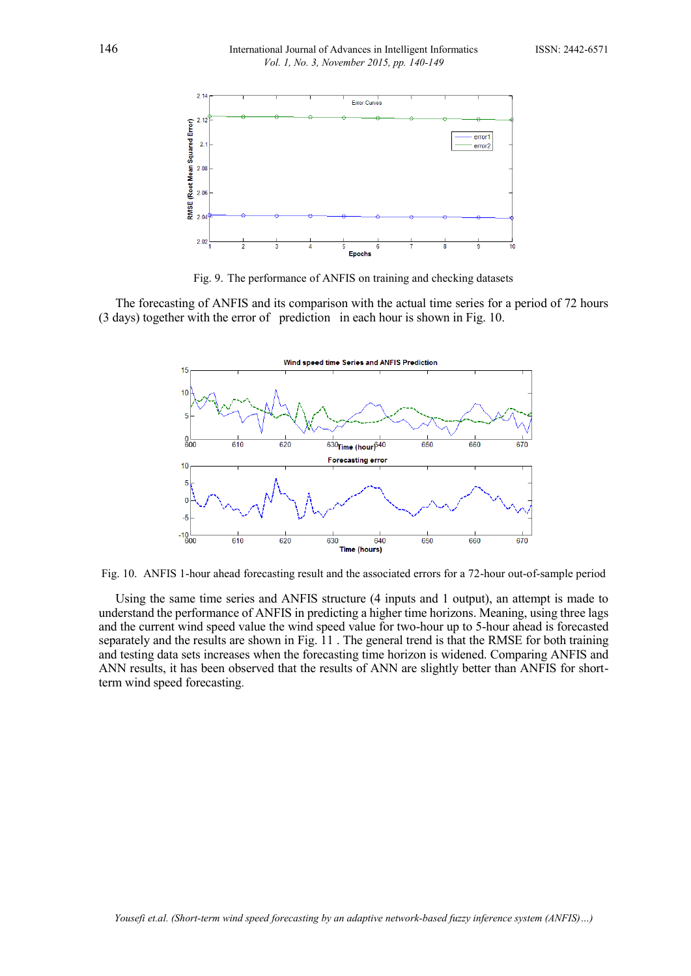

Fig. 9. The performance of ANFIS on training and checking datasets

The forecasting of ANFIS and its comparison with the actual time series for a period of 72 hours (3 days) together with the error of prediction in each hour is shown in Fig. 10.



Fig. 10. ANFIS 1-hour ahead forecasting result and the associated errors for a 72-hour out-of-sample period

Using the same time series and ANFIS structure (4 inputs and 1 output), an attempt is made to understand the performance of ANFIS in predicting a higher time horizons. Meaning, using three lags and the current wind speed value the wind speed value for two-hour up to 5-hour ahead is forecasted separately and the results are shown in Fig. 11 . The general trend is that the RMSE for both training and testing data sets increases when the forecasting time horizon is widened. Comparing ANFIS and ANN results, it has been observed that the results of ANN are slightly better than ANFIS for shortterm wind speed forecasting.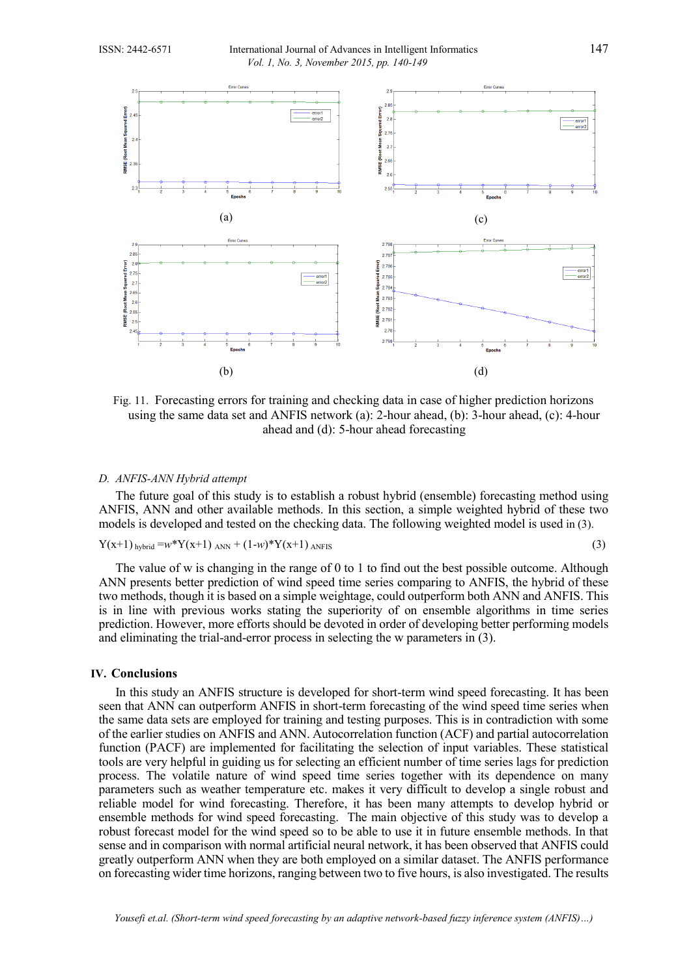

Fig. 11. Forecasting errors for training and checking data in case of higher prediction horizons using the same data set and ANFIS network (a): 2-hour ahead, (b): 3-hour ahead, (c): 4-hour ahead and (d): 5-hour ahead forecasting

# *D. ANFIS-ANN Hybrid attempt*

The future goal of this study is to establish a robust hybrid (ensemble) forecasting method using ANFIS, ANN and other available methods. In this section, a simple weighted hybrid of these two models is developed and tested on the checking data. The following weighted model is used in (3).

$$
Y(x+1)_{hybrid} = w*Y(x+1)_{ANN} + (1-w)*Y(x+1)_{ANFIS}
$$
\n
$$
(3)
$$

The value of w is changing in the range of 0 to 1 to find out the best possible outcome. Although ANN presents better prediction of wind speed time series comparing to ANFIS, the hybrid of these two methods, though it is based on a simple weightage, could outperform both ANN and ANFIS. This is in line with previous works stating the superiority of on ensemble algorithms in time series prediction. However, more efforts should be devoted in order of developing better performing models and eliminating the trial-and-error process in selecting the w parameters in (3).

# **IV. Conclusions**

In this study an ANFIS structure is developed for short-term wind speed forecasting. It has been seen that ANN can outperform ANFIS in short-term forecasting of the wind speed time series when the same data sets are employed for training and testing purposes. This is in contradiction with some of the earlier studies on ANFIS and ANN. Autocorrelation function (ACF) and partial autocorrelation function (PACF) are implemented for facilitating the selection of input variables. These statistical tools are very helpful in guiding us for selecting an efficient number of time series lags for prediction process. The volatile nature of wind speed time series together with its dependence on many parameters such as weather temperature etc. makes it very difficult to develop a single robust and reliable model for wind forecasting. Therefore, it has been many attempts to develop hybrid or ensemble methods for wind speed forecasting. The main objective of this study was to develop a robust forecast model for the wind speed so to be able to use it in future ensemble methods. In that sense and in comparison with normal artificial neural network, it has been observed that ANFIS could greatly outperform ANN when they are both employed on a similar dataset. The ANFIS performance on forecasting wider time horizons, ranging between two to five hours, is also investigated. The results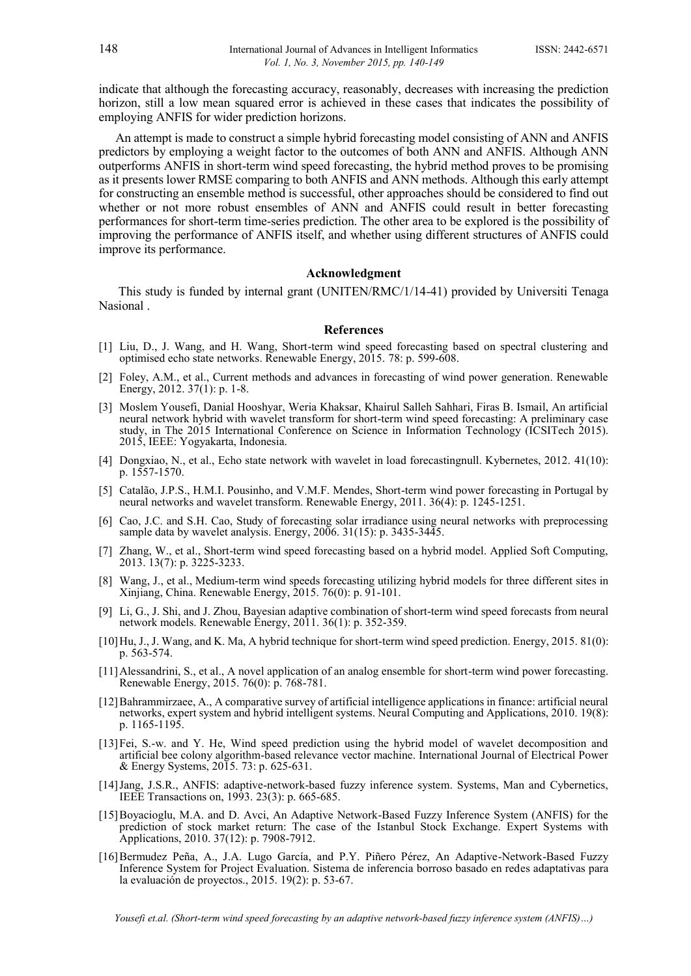indicate that although the forecasting accuracy, reasonably, decreases with increasing the prediction horizon, still a low mean squared error is achieved in these cases that indicates the possibility of employing ANFIS for wider prediction horizons.

An attempt is made to construct a simple hybrid forecasting model consisting of ANN and ANFIS predictors by employing a weight factor to the outcomes of both ANN and ANFIS. Although ANN outperforms ANFIS in short-term wind speed forecasting, the hybrid method proves to be promising as it presents lower RMSE comparing to both ANFIS and ANN methods. Although this early attempt for constructing an ensemble method is successful, other approaches should be considered to find out whether or not more robust ensembles of ANN and ANFIS could result in better forecasting performances for short-term time-series prediction. The other area to be explored is the possibility of improving the performance of ANFIS itself, and whether using different structures of ANFIS could improve its performance.

### **Acknowledgment**

This study is funded by internal grant (UNITEN/RMC/1/14-41) provided by Universiti Tenaga Nasional .

#### **References**

- <span id="page-8-0"></span>[1] Liu, D., J. Wang, and H. Wang, Short-term wind speed forecasting based on spectral clustering and optimised echo state networks. Renewable Energy, 2015. 78: p. 599-608.
- <span id="page-8-1"></span>[2] Foley, A.M., et al., Current methods and advances in forecasting of wind power generation. Renewable Energy, 2012. 37(1): p. 1-8.
- <span id="page-8-2"></span>[3] Moslem Yousefi, Danial Hooshyar, Weria Khaksar, Khairul Salleh Sahhari, Firas B. Ismail, An artificial neural network hybrid with wavelet transform for short-term wind speed forecasting: A preliminary case study, in The 2015 International Conference on Science in Information Technology (ICSITech 2015). 2015, IEEE: Yogyakarta, Indonesia.
- <span id="page-8-3"></span>[4] Dongxiao, N., et al., Echo state network with wavelet in load forecastingnull. Kybernetes, 2012. 41(10): p. 1557-1570.
- [5] Catalão, J.P.S., H.M.I. Pousinho, and V.M.F. Mendes, Short-term wind power forecasting in Portugal by neural networks and wavelet transform. Renewable Energy, 2011. 36(4): p. 1245-1251.
- [6] Cao, J.C. and S.H. Cao, Study of forecasting solar irradiance using neural networks with preprocessing sample data by wavelet analysis. Energy, 2006. 31(15): p. 3435-3445.
- <span id="page-8-4"></span>[7] Zhang, W., et al., Short-term wind speed forecasting based on a hybrid model. Applied Soft Computing, 2013. 13(7): p. 3225-3233.
- [8] Wang, J., et al., Medium-term wind speeds forecasting utilizing hybrid models for three different sites in Xinjiang, China. Renewable Energy, 2015. 76(0): p. 91-101.
- [9] Li, G., J. Shi, and J. Zhou, Bayesian adaptive combination of short-term wind speed forecasts from neural network models. Renewable Energy, 2011. 36(1): p. 352-359.
- [10]Hu, J., J. Wang, and K. Ma, A hybrid technique for short-term wind speed prediction. Energy, 2015. 81(0): p. 563-574.
- [11]Alessandrini, S., et al., A novel application of an analog ensemble for short-term wind power forecasting. Renewable Energy, 2015. 76(0): p. 768-781.
- <span id="page-8-5"></span>[12]Bahrammirzaee, A., A comparative survey of artificial intelligence applications in finance: artificial neural networks, expert system and hybrid intelligent systems. Neural Computing and Applications, 2010. 19(8): p. 1165-1195.
- <span id="page-8-6"></span>[13]Fei, S.-w. and Y. He, Wind speed prediction using the hybrid model of wavelet decomposition and artificial bee colony algorithm-based relevance vector machine. International Journal of Electrical Power & Energy Systems, 2015. 73: p. 625-631.
- <span id="page-8-7"></span>[14]Jang, J.S.R., ANFIS: adaptive-network-based fuzzy inference system. Systems, Man and Cybernetics, IEEE Transactions on, 1993. 23(3): p. 665-685.
- <span id="page-8-8"></span>[15]Boyacioglu, M.A. and D. Avci, An Adaptive Network-Based Fuzzy Inference System (ANFIS) for the prediction of stock market return: The case of the Istanbul Stock Exchange. Expert Systems with Applications, 2010. 37(12): p. 7908-7912.
- <span id="page-8-9"></span>[16]Bermudez Peña, A., J.A. Lugo García, and P.Y. Piñero Pérez, An Adaptive-Network-Based Fuzzy Inference System for Project Evaluation. Sistema de inferencia borroso basado en redes adaptativas para la evaluación de proyectos., 2015. 19(2): p. 53-67.